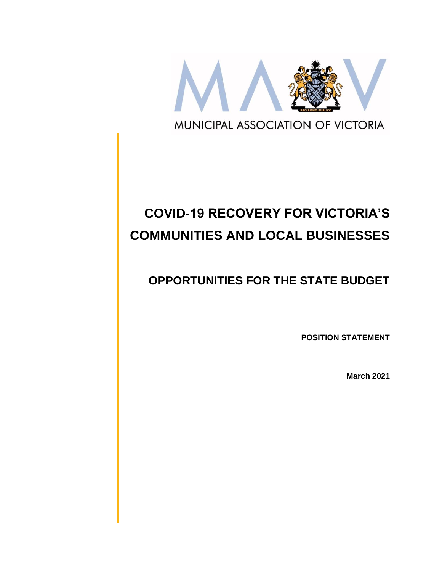

# **COVID-19 RECOVERY FOR VICTORIA'S COMMUNITIES AND LOCAL BUSINESSES**

## **OPPORTUNITIES FOR THE STATE BUDGET**

**POSITION STATEMENT**

**March 2021**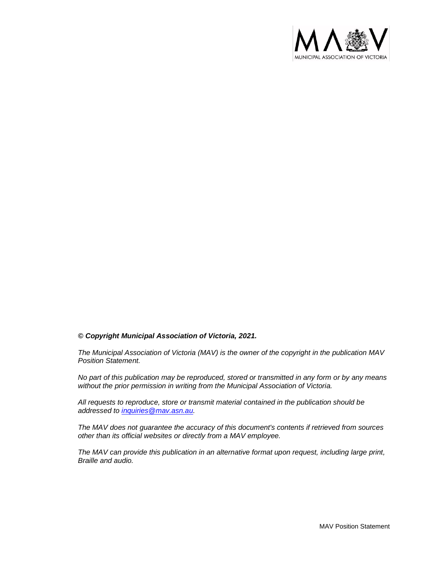

#### *© Copyright Municipal Association of Victoria, 2021.*

*The Municipal Association of Victoria (MAV) is the owner of the copyright in the publication MAV Position Statement.* 

*No part of this publication may be reproduced, stored or transmitted in any form or by any means without the prior permission in writing from the Municipal Association of Victoria.* 

*All requests to reproduce, store or transmit material contained in the publication should be addressed to [inquiries@mav.asn.au.](mailto:inquiries@mav.asn.au)* 

*The MAV does not guarantee the accuracy of this document's contents if retrieved from sources other than its official websites or directly from a MAV employee.*

*The MAV can provide this publication in an alternative format upon request, including large print, Braille and audio.*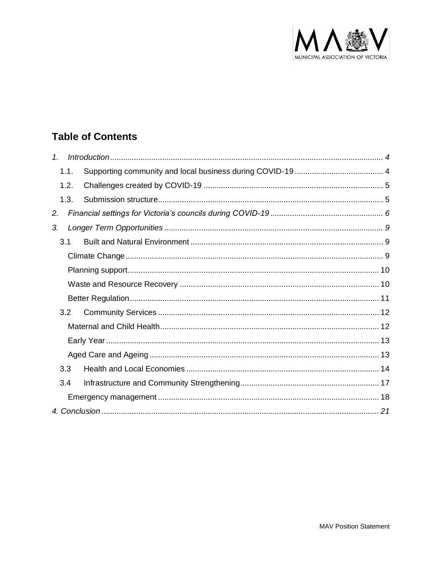

## **Table of Contents**

| $\mathcal{I}$ . |      |  |
|-----------------|------|--|
|                 | 1.1. |  |
|                 | 1.2. |  |
|                 | 1.3. |  |
| 2.              |      |  |
| 3.              |      |  |
|                 | 3.1  |  |
|                 |      |  |
|                 |      |  |
|                 |      |  |
|                 |      |  |
|                 | 3.2  |  |
|                 |      |  |
|                 |      |  |
|                 |      |  |
|                 | 3.3  |  |
|                 | 3.4  |  |
|                 |      |  |
|                 |      |  |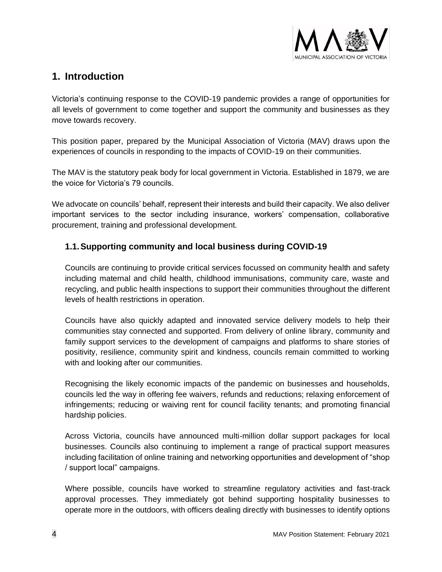

### <span id="page-3-0"></span>**1. Introduction**

Victoria's continuing response to the COVID-19 pandemic provides a range of opportunities for all levels of government to come together and support the community and businesses as they move towards recovery.

This position paper, prepared by the Municipal Association of Victoria (MAV) draws upon the experiences of councils in responding to the impacts of COVID-19 on their communities.

The MAV is the statutory peak body for local government in Victoria. Established in 1879, we are the voice for Victoria's 79 councils.

We advocate on councils' behalf, represent their interests and build their capacity. We also deliver important services to the sector including insurance, workers' compensation, collaborative procurement, training and professional development.

#### <span id="page-3-1"></span>**1.1.Supporting community and local business during COVID-19**

Councils are continuing to provide critical services focussed on community health and safety including maternal and child health, childhood immunisations, community care, waste and recycling, and public health inspections to support their communities throughout the different levels of health restrictions in operation.

Councils have also quickly adapted and innovated service delivery models to help their communities stay connected and supported. From delivery of online library, community and family support services to the development of campaigns and platforms to share stories of positivity, resilience, community spirit and kindness, councils remain committed to working with and looking after our communities.

Recognising the likely economic impacts of the pandemic on businesses and households, councils led the way in offering fee waivers, refunds and reductions; relaxing enforcement of infringements; reducing or waiving rent for council facility tenants; and promoting financial hardship policies.

Across Victoria, councils have announced multi-million dollar support packages for local businesses. Councils also continuing to implement a range of practical support measures including facilitation of online training and networking opportunities and development of "shop / support local" campaigns.

Where possible, councils have worked to streamline regulatory activities and fast-track approval processes. They immediately got behind supporting hospitality businesses to operate more in the outdoors, with officers dealing directly with businesses to identify options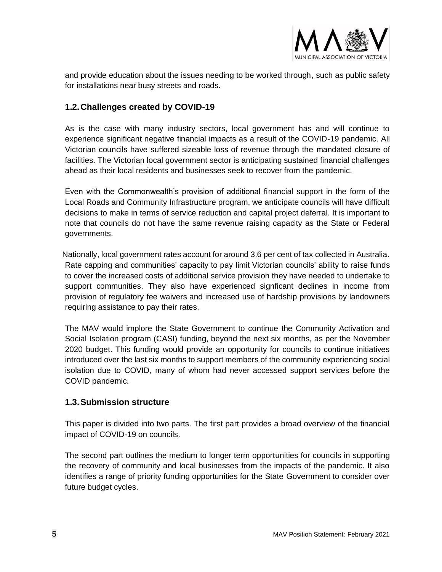

and provide education about the issues needing to be worked through, such as public safety for installations near busy streets and roads.

#### <span id="page-4-0"></span>**1.2.Challenges created by COVID-19**

As is the case with many industry sectors, local government has and will continue to experience significant negative financial impacts as a result of the COVID-19 pandemic. All Victorian councils have suffered sizeable loss of revenue through the mandated closure of facilities. The Victorian local government sector is anticipating sustained financial challenges ahead as their local residents and businesses seek to recover from the pandemic.

Even with the Commonwealth's provision of additional financial support in the form of the Local Roads and Community Infrastructure program, we anticipate councils will have difficult decisions to make in terms of service reduction and capital project deferral. It is important to note that councils do not have the same revenue raising capacity as the State or Federal governments.

Nationally, local government rates account for around 3.6 per cent of tax collected in Australia. Rate capping and communities' capacity to pay limit Victorian councils' ability to raise funds to cover the increased costs of additional service provision they have needed to undertake to support communities. They also have experienced signficant declines in income from provision of regulatory fee waivers and increased use of hardship provisions by landowners requiring assistance to pay their rates.

The MAV would implore the State Government to continue the Community Activation and Social Isolation program (CASI) funding, beyond the next six months, as per the November 2020 budget. This funding would provide an opportunity for councils to continue initiatives introduced over the last six months to support members of the community experiencing social isolation due to COVID, many of whom had never accessed support services before the COVID pandemic.

#### <span id="page-4-1"></span>**1.3.Submission structure**

This paper is divided into two parts. The first part provides a broad overview of the financial impact of COVID-19 on councils.

The second part outlines the medium to longer term opportunities for councils in supporting the recovery of community and local businesses from the impacts of the pandemic. It also identifies a range of priority funding opportunities for the State Government to consider over future budget cycles.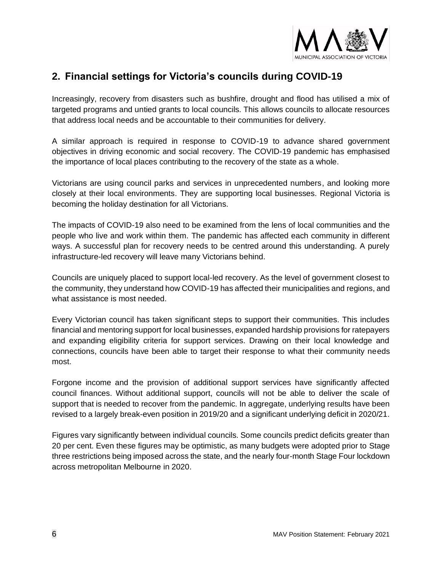

## <span id="page-5-0"></span>**2. Financial settings for Victoria's councils during COVID-19**

Increasingly, recovery from disasters such as bushfire, drought and flood has utilised a mix of targeted programs and untied grants to local councils. This allows councils to allocate resources that address local needs and be accountable to their communities for delivery.

A similar approach is required in response to COVID-19 to advance shared government objectives in driving economic and social recovery. The COVID-19 pandemic has emphasised the importance of local places contributing to the recovery of the state as a whole.

Victorians are using council parks and services in unprecedented numbers, and looking more closely at their local environments. They are supporting local businesses. Regional Victoria is becoming the holiday destination for all Victorians.

The impacts of COVID-19 also need to be examined from the lens of local communities and the people who live and work within them. The pandemic has affected each community in different ways. A successful plan for recovery needs to be centred around this understanding. A purely infrastructure-led recovery will leave many Victorians behind.

Councils are uniquely placed to support local-led recovery. As the level of government closest to the community, they understand how COVID-19 has affected their municipalities and regions, and what assistance is most needed.

Every Victorian council has taken significant steps to support their communities. This includes financial and mentoring support for local businesses, expanded hardship provisions for ratepayers and expanding eligibility criteria for support services. Drawing on their local knowledge and connections, councils have been able to target their response to what their community needs most.

Forgone income and the provision of additional support services have significantly affected council finances. Without additional support, councils will not be able to deliver the scale of support that is needed to recover from the pandemic. In aggregate, underlying results have been revised to a largely break-even position in 2019/20 and a significant underlying deficit in 2020/21.

Figures vary significantly between individual councils. Some councils predict deficits greater than 20 per cent. Even these figures may be optimistic, as many budgets were adopted prior to Stage three restrictions being imposed across the state, and the nearly four-month Stage Four lockdown across metropolitan Melbourne in 2020.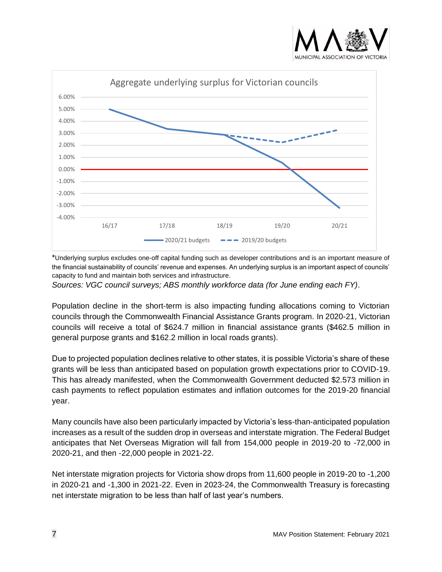



\*Underlying surplus excludes one-off capital funding such as developer contributions and is an important measure of the financial sustainability of councils' revenue and expenses. An underlying surplus is an important aspect of councils' capacity to fund and maintain both services and infrastructure.

*Sources: VGC council surveys; ABS monthly workforce data (for June ending each FY).*

Population decline in the short-term is also impacting funding allocations coming to Victorian councils through the Commonwealth Financial Assistance Grants program. In 2020-21, Victorian councils will receive a total of \$624.7 million in financial assistance grants (\$462.5 million in general purpose grants and \$162.2 million in local roads grants).

Due to projected population declines relative to other states, it is possible Victoria's share of these grants will be less than anticipated based on population growth expectations prior to COVID-19. This has already manifested, when the Commonwealth Government deducted \$2.573 million in cash payments to reflect population estimates and inflation outcomes for the 2019-20 financial year.

Many councils have also been particularly impacted by Victoria's less-than-anticipated population increases as a result of the sudden drop in overseas and interstate migration. The Federal Budget anticipates that Net Overseas Migration will fall from 154,000 people in 2019-20 to -72,000 in 2020-21, and then -22,000 people in 2021-22.

Net interstate migration projects for Victoria show drops from 11,600 people in 2019-20 to -1,200 in 2020-21 and -1,300 in 2021-22. Even in 2023-24, the Commonwealth Treasury is forecasting net interstate migration to be less than half of last year's numbers.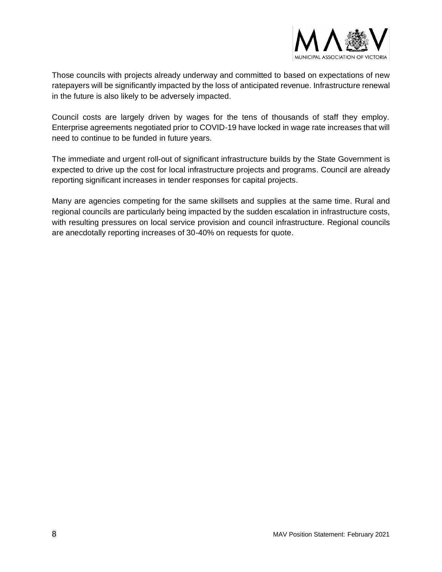

Those councils with projects already underway and committed to based on expectations of new ratepayers will be significantly impacted by the loss of anticipated revenue. Infrastructure renewal in the future is also likely to be adversely impacted.

Council costs are largely driven by wages for the tens of thousands of staff they employ. Enterprise agreements negotiated prior to COVID-19 have locked in wage rate increases that will need to continue to be funded in future years.

The immediate and urgent roll-out of significant infrastructure builds by the State Government is expected to drive up the cost for local infrastructure projects and programs. Council are already reporting significant increases in tender responses for capital projects.

Many are agencies competing for the same skillsets and supplies at the same time. Rural and regional councils are particularly being impacted by the sudden escalation in infrastructure costs, with resulting pressures on local service provision and council infrastructure. Regional councils are anecdotally reporting increases of 30-40% on requests for quote.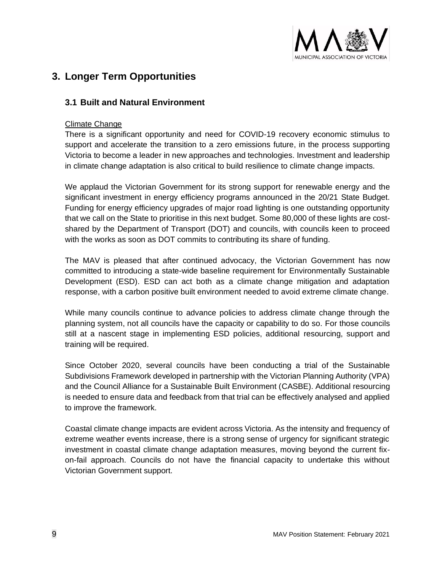

## <span id="page-8-0"></span>**3. Longer Term Opportunities**

#### <span id="page-8-1"></span>**3.1 Built and Natural Environment**

#### <span id="page-8-2"></span>Climate Change

There is a significant opportunity and need for COVID-19 recovery economic stimulus to support and accelerate the transition to a zero emissions future, in the process supporting Victoria to become a leader in new approaches and technologies. Investment and leadership in climate change adaptation is also critical to build resilience to climate change impacts.

We applaud the Victorian Government for its strong support for renewable energy and the significant investment in energy efficiency programs announced in the 20/21 State Budget. Funding for energy efficiency upgrades of major road lighting is one outstanding opportunity that we call on the State to prioritise in this next budget. Some 80,000 of these lights are costshared by the Department of Transport (DOT) and councils, with councils keen to proceed with the works as soon as DOT commits to contributing its share of funding.

The MAV is pleased that after continued advocacy, the Victorian Government has now committed to introducing a state-wide baseline requirement for Environmentally Sustainable Development (ESD). ESD can act both as a climate change mitigation and adaptation response, with a carbon positive built environment needed to avoid extreme climate change.

While many councils continue to advance policies to address climate change through the planning system, not all councils have the capacity or capability to do so. For those councils still at a nascent stage in implementing ESD policies, additional resourcing, support and training will be required.

Since October 2020, several councils have been conducting a trial of the Sustainable Subdivisions Framework developed in partnership with the Victorian Planning Authority (VPA) and the Council Alliance for a Sustainable Built Environment (CASBE). Additional resourcing is needed to ensure data and feedback from that trial can be effectively analysed and applied to improve the framework.

Coastal climate change impacts are evident across Victoria. As the intensity and frequency of extreme weather events increase, there is a strong sense of urgency for significant strategic investment in coastal climate change adaptation measures, moving beyond the current fixon-fail approach. Councils do not have the financial capacity to undertake this without Victorian Government support.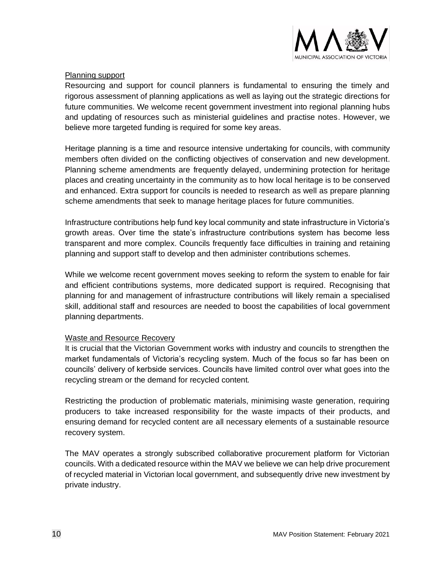

#### <span id="page-9-0"></span>Planning support

Resourcing and support for council planners is fundamental to ensuring the timely and rigorous assessment of planning applications as well as laying out the strategic directions for future communities. We welcome recent government investment into regional planning hubs and updating of resources such as ministerial guidelines and practise notes. However, we believe more targeted funding is required for some key areas.

Heritage planning is a time and resource intensive undertaking for councils, with community members often divided on the conflicting objectives of conservation and new development. Planning scheme amendments are frequently delayed, undermining protection for heritage places and creating uncertainty in the community as to how local heritage is to be conserved and enhanced. Extra support for councils is needed to research as well as prepare planning scheme amendments that seek to manage heritage places for future communities.

Infrastructure contributions help fund key local community and state infrastructure in Victoria's growth areas. Over time the state's infrastructure contributions system has become less transparent and more complex. Councils frequently face difficulties in training and retaining planning and support staff to develop and then administer contributions schemes.

While we welcome recent government moves seeking to reform the system to enable for fair and efficient contributions systems, more dedicated support is required. Recognising that planning for and management of infrastructure contributions will likely remain a specialised skill, additional staff and resources are needed to boost the capabilities of local government planning departments.

#### <span id="page-9-1"></span>Waste and Resource Recovery

It is crucial that the Victorian Government works with industry and councils to strengthen the market fundamentals of Victoria's recycling system. Much of the focus so far has been on councils' delivery of kerbside services. Councils have limited control over what goes into the recycling stream or the demand for recycled content.

Restricting the production of problematic materials, minimising waste generation, requiring producers to take increased responsibility for the waste impacts of their products, and ensuring demand for recycled content are all necessary elements of a sustainable resource recovery system.

The MAV operates a strongly subscribed collaborative procurement platform for Victorian councils. With a dedicated resource within the MAV we believe we can help drive procurement of recycled material in Victorian local government, and subsequently drive new investment by private industry.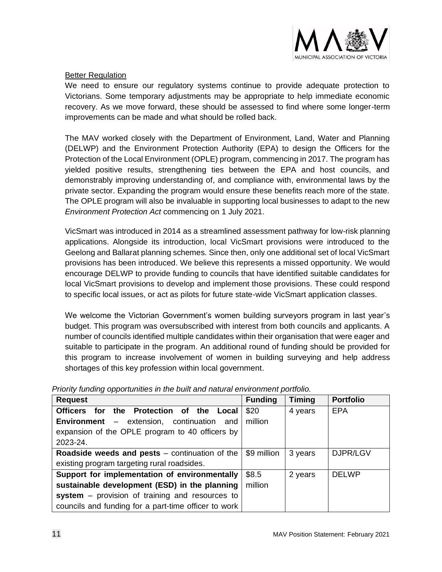

#### <span id="page-10-0"></span>**Better Regulation**

We need to ensure our regulatory systems continue to provide adequate protection to Victorians. Some temporary adjustments may be appropriate to help immediate economic recovery. As we move forward, these should be assessed to find where some longer-term improvements can be made and what should be rolled back.

The MAV worked closely with the Department of Environment, Land, Water and Planning (DELWP) and the Environment Protection Authority (EPA) to design the Officers for the Protection of the Local Environment (OPLE) program, commencing in 2017. The program has yielded positive results, strengthening ties between the EPA and host councils, and demonstrably improving understanding of, and compliance with, environmental laws by the private sector. Expanding the program would ensure these benefits reach more of the state. The OPLE program will also be invaluable in supporting local businesses to adapt to the new *Environment Protection Act* commencing on 1 July 2021.

VicSmart was introduced in 2014 as a streamlined assessment pathway for low-risk planning applications. Alongside its introduction, local VicSmart provisions were introduced to the Geelong and Ballarat planning schemes. Since then, only one additional set of local VicSmart provisions has been introduced. We believe this represents a missed opportunity. We would encourage DELWP to provide funding to councils that have identified suitable candidates for local VicSmart provisions to develop and implement those provisions. These could respond to specific local issues, or act as pilots for future state-wide VicSmart application classes.

We welcome the Victorian Government's women building surveyors program in last year's budget. This program was oversubscribed with interest from both councils and applicants. A number of councils identified multiple candidates within their organisation that were eager and suitable to participate in the program. An additional round of funding should be provided for this program to increase involvement of women in building surveying and help address shortages of this key profession within local government.

| <b>Request</b>                                          | <b>Funding</b> | <b>Timing</b> | <b>Portfolio</b> |
|---------------------------------------------------------|----------------|---------------|------------------|
| the Protection of the<br>Officers for<br>Local          | \$20           | 4 years       | <b>EPA</b>       |
| <b>Environment</b> – extension, continuation and        | million        |               |                  |
| expansion of the OPLE program to 40 officers by         |                |               |                  |
| 2023-24.                                                |                |               |                  |
| <b>Roadside weeds and pests</b> $-$ continuation of the | \$9 million    | 3 years       | DJPR/LGV         |
| existing program targeting rural roadsides.             |                |               |                  |
| Support for implementation of environmentally           | \$8.5          | 2 years       | <b>DELWP</b>     |
| sustainable development (ESD) in the planning           | million        |               |                  |
| system - provision of training and resources to         |                |               |                  |
| councils and funding for a part-time officer to work    |                |               |                  |

*Priority funding opportunities in the built and natural environment portfolio.*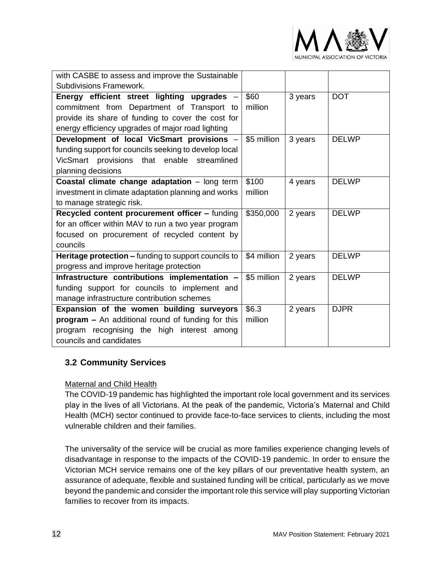

| with CASBE to assess and improve the Sustainable      |             |         |              |
|-------------------------------------------------------|-------------|---------|--------------|
| Subdivisions Framework.                               |             |         |              |
| Energy efficient street lighting upgrades -           | \$60        | 3 years | <b>DOT</b>   |
| commitment from Department of Transport to            | million     |         |              |
| provide its share of funding to cover the cost for    |             |         |              |
| energy efficiency upgrades of major road lighting     |             |         |              |
| Development of local VicSmart provisions -            | \$5 million | 3 years | <b>DELWP</b> |
| funding support for councils seeking to develop local |             |         |              |
| VicSmart provisions that enable streamlined           |             |         |              |
| planning decisions                                    |             |         |              |
| Coastal climate change adaptation - long term         | \$100       | 4 years | <b>DELWP</b> |
| investment in climate adaptation planning and works   | million     |         |              |
| to manage strategic risk.                             |             |         |              |
| Recycled content procurement officer - funding        | \$350,000   | 2 years | <b>DELWP</b> |
| for an officer within MAV to run a two year program   |             |         |              |
| focused on procurement of recycled content by         |             |         |              |
| councils                                              |             |         |              |
| Heritage protection - funding to support councils to  | \$4 million | 2 years | <b>DELWP</b> |
| progress and improve heritage protection              |             |         |              |
| Infrastructure contributions implementation -         | \$5 million | 2 years | <b>DELWP</b> |
| funding support for councils to implement and         |             |         |              |
| manage infrastructure contribution schemes            |             |         |              |
| Expansion of the women building surveyors             | \$6.3       | 2 years | <b>DJPR</b>  |
| program - An additional round of funding for this     | million     |         |              |
| program recognising the high<br>interest among        |             |         |              |
| councils and candidates                               |             |         |              |

#### <span id="page-11-0"></span>**3.2 Community Services**

#### <span id="page-11-1"></span>Maternal and Child Health

The COVID-19 pandemic has highlighted the important role local government and its services play in the lives of all Victorians. At the peak of the pandemic, Victoria's Maternal and Child Health (MCH) sector continued to provide face-to-face services to clients, including the most vulnerable children and their families.

The universality of the service will be crucial as more families experience changing levels of disadvantage in response to the impacts of the COVID-19 pandemic. In order to ensure the Victorian MCH service remains one of the key pillars of our preventative health system, an assurance of adequate, flexible and sustained funding will be critical, particularly as we move beyond the pandemic and consider the important role this service will play supporting Victorian families to recover from its impacts.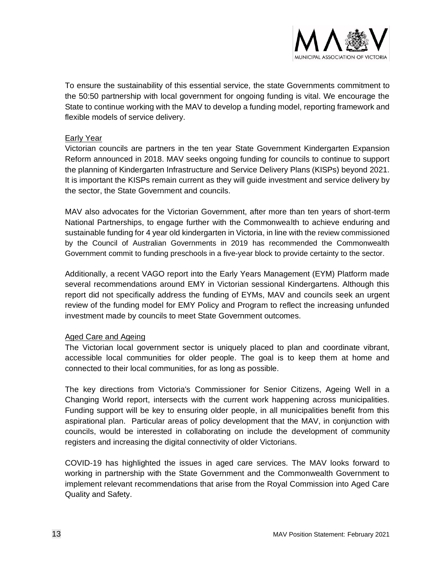

To ensure the sustainability of this essential service, the state Governments commitment to the 50:50 partnership with local government for ongoing funding is vital. We encourage the State to continue working with the MAV to develop a funding model, reporting framework and flexible models of service delivery.

#### <span id="page-12-0"></span>Early Year

Victorian councils are partners in the ten year State Government Kindergarten Expansion Reform announced in 2018. MAV seeks ongoing funding for councils to continue to support the planning of Kindergarten Infrastructure and Service Delivery Plans (KISPs) beyond 2021. It is important the KISPs remain current as they will guide investment and service delivery by the sector, the State Government and councils.

MAV also advocates for the Victorian Government, after more than ten years of short-term National Partnerships, to engage further with the Commonwealth to achieve enduring and sustainable funding for 4 year old kindergarten in Victoria, in line with the review commissioned by the Council of Australian Governments in 2019 has recommended the Commonwealth Government commit to funding preschools in a five-year block to provide certainty to the sector.

Additionally, a recent VAGO report into the Early Years Management (EYM) Platform made several recommendations around EMY in Victorian sessional Kindergartens. Although this report did not specifically address the funding of EYMs, MAV and councils seek an urgent review of the funding model for EMY Policy and Program to reflect the increasing unfunded investment made by councils to meet State Government outcomes.

#### <span id="page-12-1"></span>Aged Care and Ageing

The Victorian local government sector is uniquely placed to plan and coordinate vibrant, accessible local communities for older people. The goal is to keep them at home and connected to their local communities, for as long as possible.

The key directions from Victoria's Commissioner for Senior Citizens, Ageing Well in a Changing World report, intersects with the current work happening across municipalities. Funding support will be key to ensuring older people, in all municipalities benefit from this aspirational plan. Particular areas of policy development that the MAV, in conjunction with councils, would be interested in collaborating on include the development of community registers and increasing the digital connectivity of older Victorians.

COVID-19 has highlighted the issues in aged care services. The MAV looks forward to working in partnership with the State Government and the Commonwealth Government to implement relevant recommendations that arise from the Royal Commission into Aged Care Quality and Safety.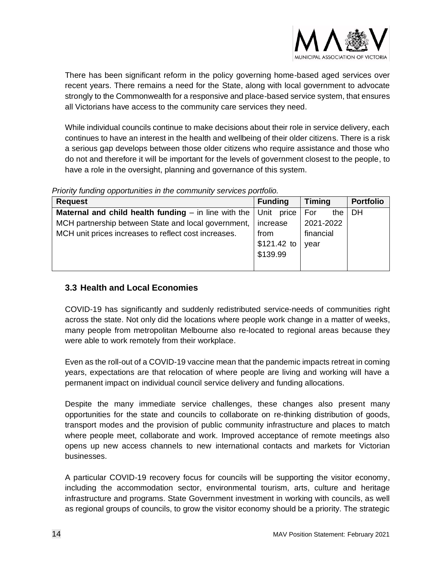

There has been significant reform in the policy governing home-based aged services over recent years. There remains a need for the State, along with local government to advocate strongly to the Commonwealth for a responsive and place-based service system, that ensures all Victorians have access to the community care services they need.

While individual councils continue to make decisions about their role in service delivery, each continues to have an interest in the health and wellbeing of their older citizens. There is a risk a serious gap develops between those older citizens who require assistance and those who do not and therefore it will be important for the levels of government closest to the people, to have a role in the oversight, planning and governance of this system.

*Priority funding opportunities in the community services portfolio.*

| <b>Request</b>                                                               | <b>Funding</b> | <b>Timing</b> | <b>Portfolio</b> |
|------------------------------------------------------------------------------|----------------|---------------|------------------|
| <b>Maternal and child health funding</b> $-$ in line with the $ $ Unit price |                | For<br>the    | <b>DH</b>        |
| MCH partnership between State and local government,                          | increase       | 2021-2022     |                  |
| MCH unit prices increases to reflect cost increases.                         | from           | financial     |                  |
|                                                                              | $$121.42$ to   | year          |                  |
|                                                                              | \$139.99       |               |                  |
|                                                                              |                |               |                  |

#### <span id="page-13-0"></span>**3.3 Health and Local Economies**

COVID-19 has significantly and suddenly redistributed service-needs of communities right across the state. Not only did the locations where people work change in a matter of weeks, many people from metropolitan Melbourne also re-located to regional areas because they were able to work remotely from their workplace.

Even as the roll-out of a COVID-19 vaccine mean that the pandemic impacts retreat in coming years, expectations are that relocation of where people are living and working will have a permanent impact on individual council service delivery and funding allocations.

Despite the many immediate service challenges, these changes also present many opportunities for the state and councils to collaborate on re-thinking distribution of goods, transport modes and the provision of public community infrastructure and places to match where people meet, collaborate and work. Improved acceptance of remote meetings also opens up new access channels to new international contacts and markets for Victorian businesses.

A particular COVID-19 recovery focus for councils will be supporting the visitor economy, including the accommodation sector, environmental tourism, arts, culture and heritage infrastructure and programs. State Government investment in working with councils, as well as regional groups of councils, to grow the visitor economy should be a priority. The strategic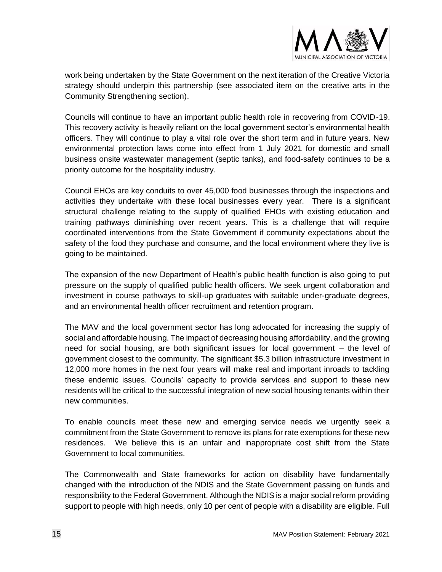

work being undertaken by the State Government on the next iteration of the Creative Victoria strategy should underpin this partnership (see associated item on the creative arts in the Community Strengthening section).

Councils will continue to have an important public health role in recovering from COVID-19. This recovery activity is heavily reliant on the local government sector's environmental health officers. They will continue to play a vital role over the short term and in future years. New environmental protection laws come into effect from 1 July 2021 for domestic and small business onsite wastewater management (septic tanks), and food-safety continues to be a priority outcome for the hospitality industry.

Council EHOs are key conduits to over 45,000 food businesses through the inspections and activities they undertake with these local businesses every year. There is a significant structural challenge relating to the supply of qualified EHOs with existing education and training pathways diminishing over recent years. This is a challenge that will require coordinated interventions from the State Government if community expectations about the safety of the food they purchase and consume, and the local environment where they live is going to be maintained.

The expansion of the new Department of Health's public health function is also going to put pressure on the supply of qualified public health officers. We seek urgent collaboration and investment in course pathways to skill-up graduates with suitable under-graduate degrees, and an environmental health officer recruitment and retention program.

The MAV and the local government sector has long advocated for increasing the supply of social and affordable housing. The impact of decreasing housing affordability, and the growing need for social housing, are both significant issues for local government – the level of government closest to the community. The significant \$5.3 billion infrastructure investment in 12,000 more homes in the next four years will make real and important inroads to tackling these endemic issues. Councils' capacity to provide services and support to these new residents will be critical to the successful integration of new social housing tenants within their new communities.

To enable councils meet these new and emerging service needs we urgently seek a commitment from the State Government to remove its plans for rate exemptions for these new residences. We believe this is an unfair and inappropriate cost shift from the State Government to local communities.

The Commonwealth and State frameworks for action on disability have fundamentally changed with the introduction of the NDIS and the State Government passing on funds and responsibility to the Federal Government. Although the NDIS is a major social reform providing support to people with high needs, only 10 per cent of people with a disability are eligible. Full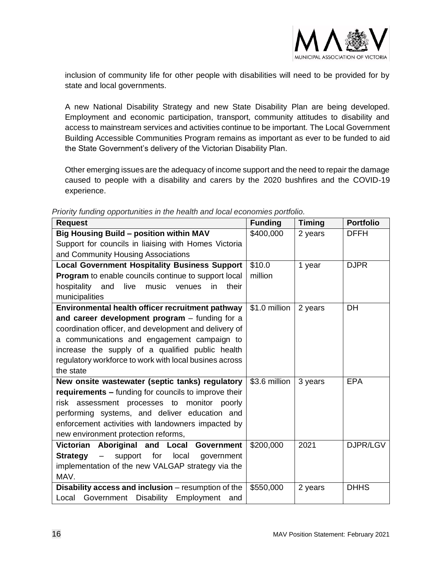

inclusion of community life for other people with disabilities will need to be provided for by state and local governments.

A new National Disability Strategy and new State Disability Plan are being developed. Employment and economic participation, transport, community attitudes to disability and access to mainstream services and activities continue to be important. The Local Government Building Accessible Communities Program remains as important as ever to be funded to aid the State Government's delivery of the Victorian Disability Plan.

Other emerging issues are the adequacy of income support and the need to repair the damage caused to people with a disability and carers by the 2020 bushfires and the COVID-19 experience.

| <b>Request</b>                                                                    | <b>Funding</b> | Timing  | <b>Portfolio</b> |
|-----------------------------------------------------------------------------------|----------------|---------|------------------|
| <b>Big Housing Build - position within MAV</b>                                    | \$400,000      | 2 years | <b>DFFH</b>      |
| Support for councils in liaising with Homes Victoria                              |                |         |                  |
| and Community Housing Associations                                                |                |         |                  |
| <b>Local Government Hospitality Business Support</b>                              | \$10.0         | 1 year  | <b>DJPR</b>      |
| Program to enable councils continue to support local                              | million        |         |                  |
| hospitality and<br>live<br>music<br>their<br>venues<br>in                         |                |         |                  |
| municipalities                                                                    |                |         |                  |
| Environmental health officer recruitment pathway                                  | \$1.0 million  | 2 years | DH               |
| and career development program - funding for a                                    |                |         |                  |
| coordination officer, and development and delivery of                             |                |         |                  |
| a communications and engagement campaign to                                       |                |         |                  |
| increase the supply of a qualified public health                                  |                |         |                  |
| regulatory workforce to work with local busines across                            |                |         |                  |
| the state                                                                         |                |         |                  |
| New onsite wastewater (septic tanks) regulatory                                   | \$3.6 million  | 3 years | <b>EPA</b>       |
| requirements - funding for councils to improve their                              |                |         |                  |
| risk assessment processes to<br>monitor poorly                                    |                |         |                  |
| performing systems, and deliver education and                                     |                |         |                  |
| enforcement activities with landowners impacted by                                |                |         |                  |
| new environment protection reforms,                                               |                |         |                  |
| Victorian Aboriginal and Local<br>Government                                      | \$200,000      | 2021    | DJPR/LGV         |
| <b>Strategy</b><br>support for<br>local<br>government<br>$\overline{\phantom{m}}$ |                |         |                  |
| implementation of the new VALGAP strategy via the                                 |                |         |                  |
| MAV.                                                                              |                |         |                  |
| Disability access and inclusion - resumption of the                               | \$550,000      | 2 years | <b>DHHS</b>      |
| Local Government Disability<br>Employment<br>and                                  |                |         |                  |

*Priority funding opportunities in the health and local economies portfolio.*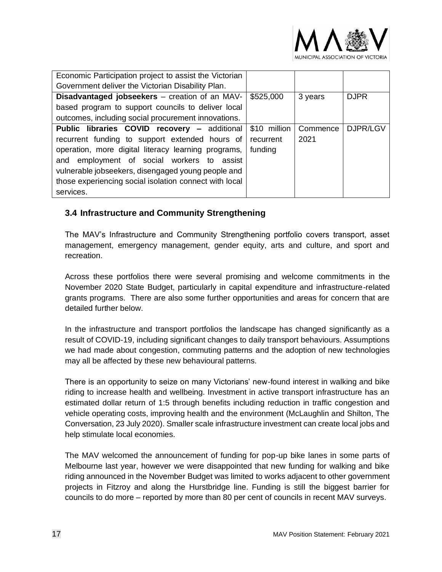

| Economic Participation project to assist the Victorian |              |          |             |
|--------------------------------------------------------|--------------|----------|-------------|
| Government deliver the Victorian Disability Plan.      |              |          |             |
| <b>Disadvantaged jobseekers</b> – creation of an MAV-  | \$525,000    | 3 years  | <b>DJPR</b> |
| based program to support councils to deliver local     |              |          |             |
| outcomes, including social procurement innovations.    |              |          |             |
| Public libraries COVID recovery - additional           | \$10 million | Commence | DJPR/LGV    |
| recurrent funding to support extended hours of         | recurrent    | 2021     |             |
| operation, more digital literacy learning programs,    | funding      |          |             |
| and employment of social workers to assist             |              |          |             |
| vulnerable jobseekers, disengaged young people and     |              |          |             |
| those experiencing social isolation connect with local |              |          |             |
| services.                                              |              |          |             |

#### <span id="page-16-0"></span>**3.4 Infrastructure and Community Strengthening**

The MAV's Infrastructure and Community Strengthening portfolio covers transport, asset management, emergency management, gender equity, arts and culture, and sport and recreation.

Across these portfolios there were several promising and welcome commitments in the November 2020 State Budget, particularly in capital expenditure and infrastructure-related grants programs. There are also some further opportunities and areas for concern that are detailed further below.

In the infrastructure and transport portfolios the landscape has changed significantly as a result of COVID-19, including significant changes to daily transport behaviours. Assumptions we had made about congestion, commuting patterns and the adoption of new technologies may all be affected by these new behavioural patterns.

There is an opportunity to seize on many Victorians' new-found interest in walking and bike riding to increase health and wellbeing. Investment in active transport infrastructure has an estimated dollar return of 1:5 through benefits including reduction in traffic congestion and vehicle operating costs, improving health and the environment (McLaughlin and Shilton, The Conversation, 23 July 2020). Smaller scale infrastructure investment can create local jobs and help stimulate local economies.

The MAV welcomed the announcement of funding for pop-up bike lanes in some parts of Melbourne last year, however we were disappointed that new funding for walking and bike riding announced in the November Budget was limited to works adjacent to other government projects in Fitzroy and along the Hurstbridge line. Funding is still the biggest barrier for councils to do more – reported by more than 80 per cent of councils in recent MAV surveys.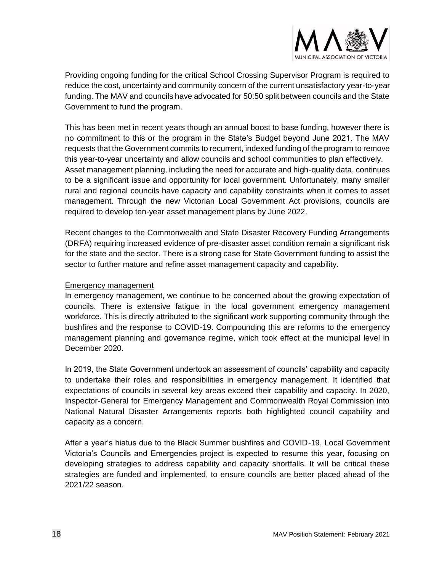

Providing ongoing funding for the critical School Crossing Supervisor Program is required to reduce the cost, uncertainty and community concern of the current unsatisfactory year-to-year funding. The MAV and councils have advocated for 50:50 split between councils and the State Government to fund the program.

This has been met in recent years though an annual boost to base funding, however there is no commitment to this or the program in the State's Budget beyond June 2021. The MAV requests that the Government commits to recurrent, indexed funding of the program to remove this year-to-year uncertainty and allow councils and school communities to plan effectively. Asset management planning, including the need for accurate and high-quality data, continues to be a significant issue and opportunity for local government. Unfortunately, many smaller rural and regional councils have capacity and capability constraints when it comes to asset management. Through the new Victorian Local Government Act provisions, councils are required to develop ten-year asset management plans by June 2022.

Recent changes to the Commonwealth and State Disaster Recovery Funding Arrangements (DRFA) requiring increased evidence of pre-disaster asset condition remain a significant risk for the state and the sector. There is a strong case for State Government funding to assist the sector to further mature and refine asset management capacity and capability.

#### <span id="page-17-0"></span>Emergency management

In emergency management, we continue to be concerned about the growing expectation of councils. There is extensive fatigue in the local government emergency management workforce. This is directly attributed to the significant work supporting community through the bushfires and the response to COVID-19. Compounding this are reforms to the emergency management planning and governance regime, which took effect at the municipal level in December 2020.

In 2019, the State Government undertook an assessment of councils' capability and capacity to undertake their roles and responsibilities in emergency management. It identified that expectations of councils in several key areas exceed their capability and capacity. In 2020, Inspector-General for Emergency Management and Commonwealth Royal Commission into National Natural Disaster Arrangements reports both highlighted council capability and capacity as a concern.

After a year's hiatus due to the Black Summer bushfires and COVID-19, Local Government Victoria's Councils and Emergencies project is expected to resume this year, focusing on developing strategies to address capability and capacity shortfalls. It will be critical these strategies are funded and implemented, to ensure councils are better placed ahead of the 2021/22 season.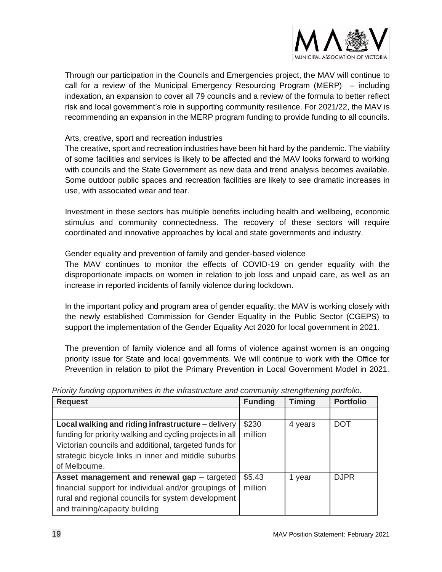

Through our participation in the Councils and Emergencies project, the MAV will continue to call for a review of the Municipal Emergency Resourcing Program (MERP) – including indexation, an expansion to cover all 79 councils and a review of the formula to better reflect risk and local government's role in supporting community resilience. For 2021/22, the MAV is recommending an expansion in the MERP program funding to provide funding to all councils.

#### Arts, creative, sport and recreation industries

The creative, sport and recreation industries have been hit hard by the pandemic. The viability of some facilities and services is likely to be affected and the MAV looks forward to working with councils and the State Government as new data and trend analysis becomes available. Some outdoor public spaces and recreation facilities are likely to see dramatic increases in use, with associated wear and tear.

Investment in these sectors has multiple benefits including health and wellbeing, economic stimulus and community connectedness. The recovery of these sectors will require coordinated and innovative approaches by local and state governments and industry.

Gender equality and prevention of family and gender-based violence

The MAV continues to monitor the effects of COVID-19 on gender equality with the disproportionate impacts on women in relation to job loss and unpaid care, as well as an increase in reported incidents of family violence during lockdown.

In the important policy and program area of gender equality, the MAV is working closely with the newly established Commission for Gender Equality in the Public Sector (CGEPS) to support the implementation of the Gender Equality Act 2020 for local government in 2021.

The prevention of family violence and all forms of violence against women is an ongoing priority issue for State and local governments. We will continue to work with the Office for Prevention in relation to pilot the Primary Prevention in Local Government Model in 2021.

| <b>Request</b>                                           | <b>Funding</b> | <b>Timing</b> | <b>Portfolio</b> |
|----------------------------------------------------------|----------------|---------------|------------------|
|                                                          |                |               |                  |
| Local walking and riding infrastructure – delivery       | \$230          | 4 years       | <b>DOT</b>       |
| funding for priority walking and cycling projects in all | million        |               |                  |
| Victorian councils and additional, targeted funds for    |                |               |                  |
| strategic bicycle links in inner and middle suburbs      |                |               |                  |
| of Melbourne.                                            |                |               |                  |
| Asset management and renewal gap - targeted              | \$5.43         | 1 year        | <b>DJPR</b>      |
| financial support for individual and/or groupings of     | million        |               |                  |
| rural and regional councils for system development       |                |               |                  |
| and training/capacity building                           |                |               |                  |

*Priority funding opportunities in the infrastructure and community strengthening portfolio.*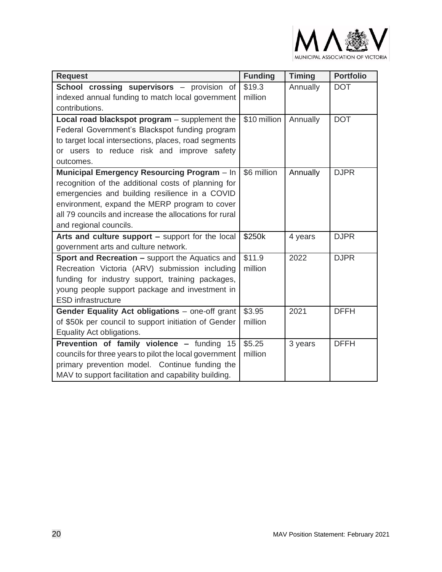

| <b>Request</b>                                         | <b>Funding</b>     | <b>Timing</b> | <b>Portfolio</b> |
|--------------------------------------------------------|--------------------|---------------|------------------|
| <b>School crossing supervisors</b> – provision of      | \$19.3             | Annually      | <b>DOT</b>       |
| indexed annual funding to match local government       | million            |               |                  |
| contributions.                                         |                    |               |                  |
| Local road blackspot program - supplement the          | \$10 million       | Annually      | <b>DOT</b>       |
| Federal Government's Blackspot funding program         |                    |               |                  |
| to target local intersections, places, road segments   |                    |               |                  |
| or users to reduce risk and improve safety             |                    |               |                  |
| outcomes.                                              |                    |               |                  |
| Municipal Emergency Resourcing Program - In            | \$6 million        | Annually      | <b>DJPR</b>      |
| recognition of the additional costs of planning for    |                    |               |                  |
| emergencies and building resilience in a COVID         |                    |               |                  |
| environment, expand the MERP program to cover          |                    |               |                  |
| all 79 councils and increase the allocations for rural |                    |               |                  |
| and regional councils.                                 |                    |               |                  |
| Arts and culture support - support for the local       | \$250k             | 4 years       | <b>DJPR</b>      |
| government arts and culture network.                   |                    |               |                  |
| <b>Sport and Recreation - support the Aquatics and</b> | \$11.9             | 2022          | <b>DJPR</b>      |
| Recreation Victoria (ARV) submission including         | million            |               |                  |
| funding for industry support, training packages,       |                    |               |                  |
| young people support package and investment in         |                    |               |                  |
| <b>ESD</b> infrastructure                              |                    |               |                  |
| Gender Equality Act obligations - one-off grant        | \$3.95             | 2021          | <b>DFFH</b>      |
| of \$50k per council to support initiation of Gender   | million            |               |                  |
| Equality Act obligations.                              |                    |               |                  |
| Prevention of family violence - funding 15             | $\overline{$}5.25$ | 3 years       | <b>DFFH</b>      |
| councils for three years to pilot the local government | million            |               |                  |
| primary prevention model. Continue funding the         |                    |               |                  |
| MAV to support facilitation and capability building.   |                    |               |                  |